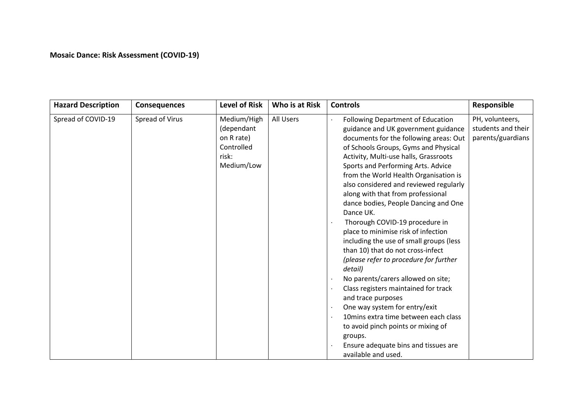## **Mosaic Dance: Risk Assessment (COVID-19)**

| <b>Hazard Description</b> | <b>Consequences</b> | <b>Level of Risk</b>                                                         | Who is at Risk | <b>Controls</b>                                                                                                                                                                                                                                                                                                                                                                                                                                                                                                                                                                                                                                                                                                                                                                                                                                                                                                                           | Responsible                                                |
|---------------------------|---------------------|------------------------------------------------------------------------------|----------------|-------------------------------------------------------------------------------------------------------------------------------------------------------------------------------------------------------------------------------------------------------------------------------------------------------------------------------------------------------------------------------------------------------------------------------------------------------------------------------------------------------------------------------------------------------------------------------------------------------------------------------------------------------------------------------------------------------------------------------------------------------------------------------------------------------------------------------------------------------------------------------------------------------------------------------------------|------------------------------------------------------------|
| Spread of COVID-19        | Spread of Virus     | Medium/High<br>(dependant<br>on R rate)<br>Controlled<br>risk:<br>Medium/Low | All Users      | <b>Following Department of Education</b><br>guidance and UK government guidance<br>documents for the following areas: Out<br>of Schools Groups, Gyms and Physical<br>Activity, Multi-use halls, Grassroots<br>Sports and Performing Arts. Advice<br>from the World Health Organisation is<br>also considered and reviewed regularly<br>along with that from professional<br>dance bodies, People Dancing and One<br>Dance UK.<br>Thorough COVID-19 procedure in<br>place to minimise risk of infection<br>including the use of small groups (less<br>than 10) that do not cross-infect<br>(please refer to procedure for further<br>detail)<br>No parents/carers allowed on site;<br>Class registers maintained for track<br>and trace purposes<br>One way system for entry/exit<br>10 mins extra time between each class<br>to avoid pinch points or mixing of<br>groups.<br>Ensure adequate bins and tissues are<br>available and used. | PH, volunteers,<br>students and their<br>parents/guardians |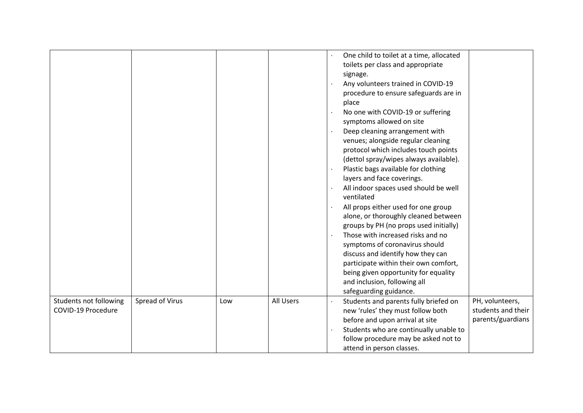|                                              |                 |     |           | One child to toilet at a time, allocated<br>toilets per class and appropriate<br>signage.<br>Any volunteers trained in COVID-19<br>procedure to ensure safeguards are in<br>place<br>No one with COVID-19 or suffering<br>symptoms allowed on site<br>Deep cleaning arrangement with<br>venues; alongside regular cleaning<br>protocol which includes touch points<br>(dettol spray/wipes always available).<br>Plastic bags available for clothing<br>layers and face coverings.<br>All indoor spaces used should be well<br>ventilated<br>All props either used for one group<br>alone, or thoroughly cleaned between<br>groups by PH (no props used initially)<br>Those with increased risks and no<br>symptoms of coronavirus should<br>discuss and identify how they can<br>participate within their own comfort,<br>being given opportunity for equality<br>and inclusion, following all<br>safeguarding guidance. |
|----------------------------------------------|-----------------|-----|-----------|--------------------------------------------------------------------------------------------------------------------------------------------------------------------------------------------------------------------------------------------------------------------------------------------------------------------------------------------------------------------------------------------------------------------------------------------------------------------------------------------------------------------------------------------------------------------------------------------------------------------------------------------------------------------------------------------------------------------------------------------------------------------------------------------------------------------------------------------------------------------------------------------------------------------------|
| Students not following<br>COVID-19 Procedure | Spread of Virus | Low | All Users | PH, volunteers,<br>Students and parents fully briefed on<br>students and their<br>new 'rules' they must follow both<br>parents/guardians<br>before and upon arrival at site<br>Students who are continually unable to<br>follow procedure may be asked not to<br>attend in person classes.                                                                                                                                                                                                                                                                                                                                                                                                                                                                                                                                                                                                                               |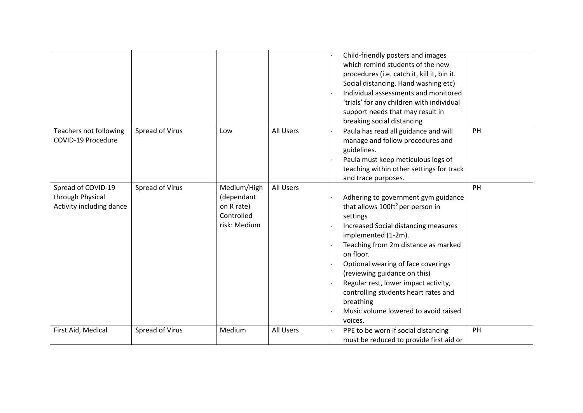|                                                                    |                 |                                                                       |           | Child-friendly posters and images<br>which remind students of the new<br>procedures (i.e. catch it, kill it, bin it.<br>Social distancing. Hand washing etc)<br>Individual assessments and monitored<br>'trials' for any children with individual<br>support needs that may result in<br>breaking social distancing                                                                                                                            |
|--------------------------------------------------------------------|-----------------|-----------------------------------------------------------------------|-----------|------------------------------------------------------------------------------------------------------------------------------------------------------------------------------------------------------------------------------------------------------------------------------------------------------------------------------------------------------------------------------------------------------------------------------------------------|
| Teachers not following<br>COVID-19 Procedure                       | Spread of Virus | Low                                                                   | All Users | PH<br>Paula has read all guidance and will<br>manage and follow procedures and<br>guidelines.<br>Paula must keep meticulous logs of<br>teaching within other settings for track<br>and trace purposes.                                                                                                                                                                                                                                         |
| Spread of COVID-19<br>through Physical<br>Activity including dance | Spread of Virus | Medium/High<br>(dependant<br>on R rate)<br>Controlled<br>risk: Medium | All Users | PH<br>Adhering to government gym guidance<br>that allows 100ft <sup>2</sup> per person in<br>settings<br>Increased Social distancing measures<br>implemented (1-2m).<br>Teaching from 2m distance as marked<br>on floor.<br>Optional wearing of face coverings<br>(reviewing guidance on this)<br>Regular rest, lower impact activity,<br>controlling students heart rates and<br>breathing<br>Music volume lowered to avoid raised<br>voices. |
| First Aid, Medical                                                 | Spread of Virus | Medium                                                                | All Users | PPE to be worn if social distancing<br>PH<br>must be reduced to provide first aid or                                                                                                                                                                                                                                                                                                                                                           |